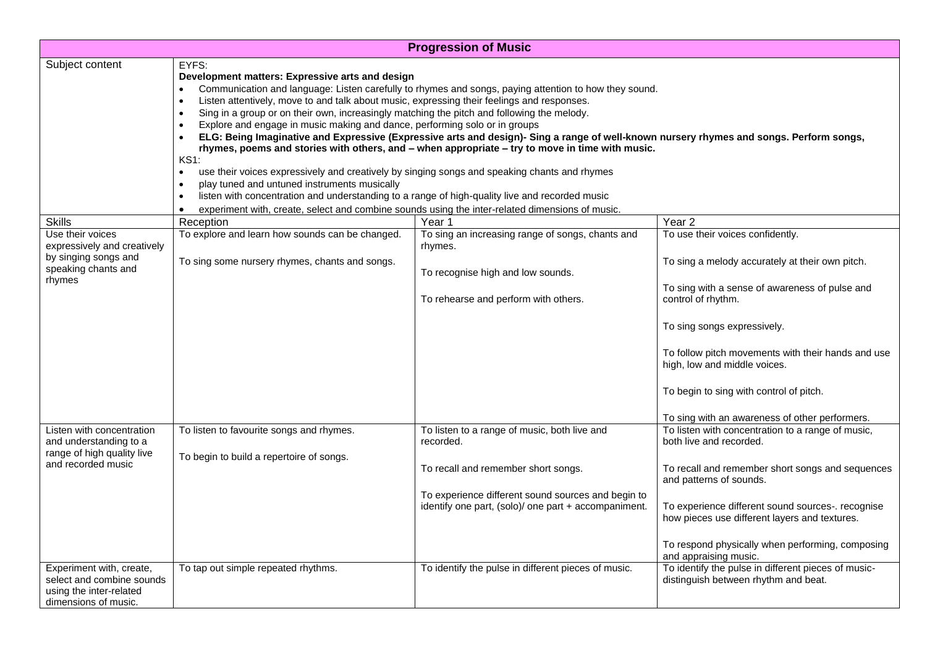| <b>Progression of Music</b>                                                                              |                                                                                                                                                                                                                                                                                                                                                                                                                                                                                                                                                                                                                                                                                                                                                                                                                                                                                                                                                                                                                                                                                                                                             |                                                                                                                                                                                                                |                                                                                                                                                                                                                                                                                                                                                                               |  |
|----------------------------------------------------------------------------------------------------------|---------------------------------------------------------------------------------------------------------------------------------------------------------------------------------------------------------------------------------------------------------------------------------------------------------------------------------------------------------------------------------------------------------------------------------------------------------------------------------------------------------------------------------------------------------------------------------------------------------------------------------------------------------------------------------------------------------------------------------------------------------------------------------------------------------------------------------------------------------------------------------------------------------------------------------------------------------------------------------------------------------------------------------------------------------------------------------------------------------------------------------------------|----------------------------------------------------------------------------------------------------------------------------------------------------------------------------------------------------------------|-------------------------------------------------------------------------------------------------------------------------------------------------------------------------------------------------------------------------------------------------------------------------------------------------------------------------------------------------------------------------------|--|
| Subject content                                                                                          | EYFS:<br>Development matters: Expressive arts and design<br>Communication and language: Listen carefully to rhymes and songs, paying attention to how they sound.<br>Listen attentively, move to and talk about music, expressing their feelings and responses.<br>$\bullet$<br>Sing in a group or on their own, increasingly matching the pitch and following the melody.<br>$\bullet$<br>Explore and engage in music making and dance, performing solo or in groups<br>$\bullet$<br>ELG: Being Imaginative and Expressive (Expressive arts and design)- Sing a range of well-known nursery rhymes and songs. Perform songs,<br>rhymes, poems and stories with others, and - when appropriate - try to move in time with music.<br><b>KS1:</b><br>use their voices expressively and creatively by singing songs and speaking chants and rhymes<br>$\bullet$<br>play tuned and untuned instruments musically<br>listen with concentration and understanding to a range of high-quality live and recorded music<br>$\bullet$<br>experiment with, create, select and combine sounds using the inter-related dimensions of music.<br>$\bullet$ |                                                                                                                                                                                                                |                                                                                                                                                                                                                                                                                                                                                                               |  |
| <b>Skills</b>                                                                                            | Reception                                                                                                                                                                                                                                                                                                                                                                                                                                                                                                                                                                                                                                                                                                                                                                                                                                                                                                                                                                                                                                                                                                                                   | Year 1                                                                                                                                                                                                         | Year <sub>2</sub>                                                                                                                                                                                                                                                                                                                                                             |  |
| Use their voices<br>expressively and creatively<br>by singing songs and<br>speaking chants and<br>rhymes | To explore and learn how sounds can be changed.<br>To sing some nursery rhymes, chants and songs.                                                                                                                                                                                                                                                                                                                                                                                                                                                                                                                                                                                                                                                                                                                                                                                                                                                                                                                                                                                                                                           | To sing an increasing range of songs, chants and<br>rhymes.<br>To recognise high and low sounds.<br>To rehearse and perform with others.                                                                       | To use their voices confidently.<br>To sing a melody accurately at their own pitch.<br>To sing with a sense of awareness of pulse and<br>control of rhythm.<br>To sing songs expressively.<br>To follow pitch movements with their hands and use<br>high, low and middle voices.<br>To begin to sing with control of pitch.<br>To sing with an awareness of other performers. |  |
| Listen with concentration<br>and understanding to a<br>range of high quality live<br>and recorded music  | To listen to favourite songs and rhymes.<br>To begin to build a repertoire of songs.                                                                                                                                                                                                                                                                                                                                                                                                                                                                                                                                                                                                                                                                                                                                                                                                                                                                                                                                                                                                                                                        | To listen to a range of music, both live and<br>recorded.<br>To recall and remember short songs.<br>To experience different sound sources and begin to<br>identify one part, (solo)/ one part + accompaniment. | To listen with concentration to a range of music,<br>both live and recorded.<br>To recall and remember short songs and sequences<br>and patterns of sounds.<br>To experience different sound sources-. recognise<br>how pieces use different layers and textures.<br>To respond physically when performing, composing<br>and appraising music.                                |  |
| Experiment with, create,<br>select and combine sounds<br>using the inter-related<br>dimensions of music. | To tap out simple repeated rhythms.                                                                                                                                                                                                                                                                                                                                                                                                                                                                                                                                                                                                                                                                                                                                                                                                                                                                                                                                                                                                                                                                                                         | To identify the pulse in different pieces of music.                                                                                                                                                            | To identify the pulse in different pieces of music-<br>distinguish between rhythm and beat.                                                                                                                                                                                                                                                                                   |  |